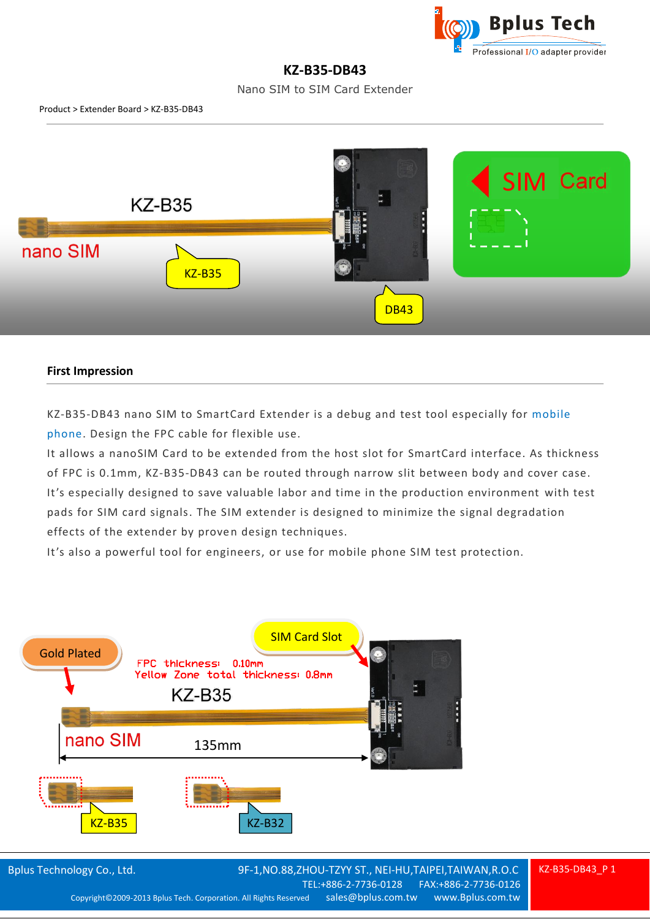

## **KZ-B35-DB43**

Nano SIM to SIM Card Extender



## **First Impression**

KZ-B35-DB43 nano SIM to SmartCard Extender is a debug and test tool especially for mobile phone. Design the FPC cable for flexible use.

It allows a nanoSIM Card to be extended from the host slot for SmartCard interface. As thickness of FPC is 0.1mm, KZ-B35-DB43 can be routed through narrow slit between body and cover case. It's especially designed to save valuable labor and time in the production environment with test pads for SIM card signals. The SIM extender is designed to minimize the signal degradation effects of the extender by proven design techniques.

It's also a powerful tool for engineers, or use for mobile phone SIM test protection.